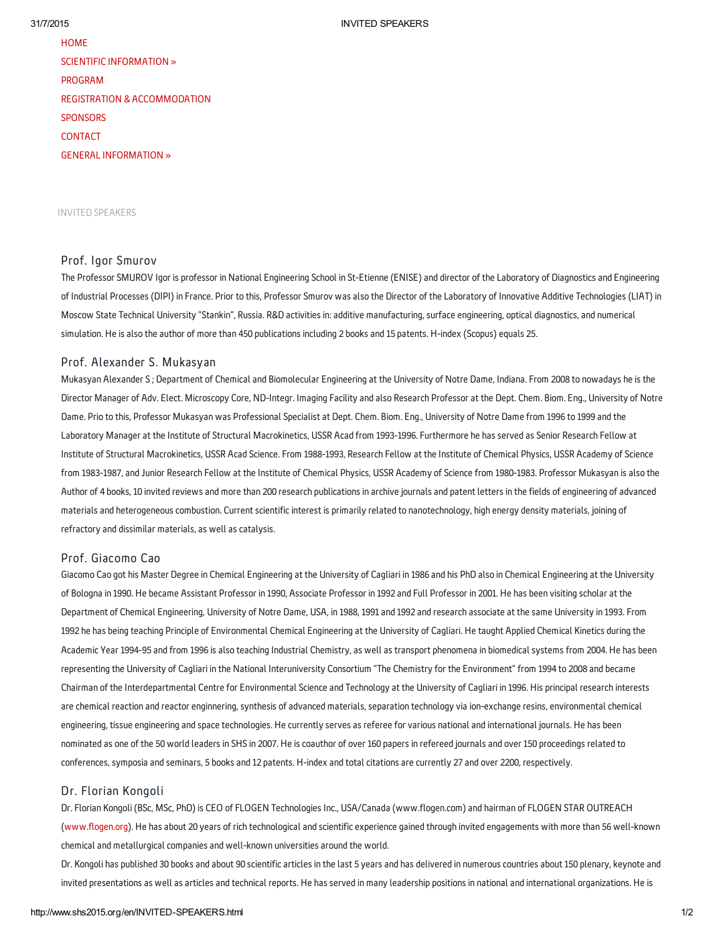**[HOME](http://www.shs2015.org/en/default.asp)** SCIENTIFIC [INFORMATION](http://www.shs2015.org/en/SCIENTIFIC-INFORMARTION.html) » [PROGRAM](http://www.shs2015.org/en/PROGRAM.html) REGISTRATION & [ACCOMMODATION](http://www.shs2015.org/en/default.asp) **[SPONSORS](http://www.shs2015.org/en/SPONSORS.html) [CONTACT](http://www.shs2015.org/en/CONTACT.html)** GENERAL [INFORMATION](http://www.shs2015.org/en/GENERAL-INFORMATION.html) »

### INVITED SPEAKERS

# Prof. Igor Smurov

The Professor SMUROV Igor is professor in National Engineering School in St-Etienne (ENISE) and director of the Laboratory of Diagnostics and Engineering of Industrial Processes (DIPI) in France. Prior to this, Professor Smurov was also the Director of the Laboratory of Innovative Additive Technologies (LIAT) in Moscow State Technical University "Stankin", Russia. R&D activities in: additive manufacturing, surface engineering, optical diagnostics, and numerical simulation. He is also the author of more than 450 publications including 2 books and 15 patents. H-index (Scopus) equals 25.

# Prof. Alexander S. Mukasyan

Mukasyan Alexander S ; Department of Chemical and Biomolecular Engineering at the University of Notre Dame, Indiana. From 2008 to nowadays he is the Director Manager of Adv. Elect. Microscopy Core, ND-Integr. Imaging Facility and also Research Professor at the Dept. Chem. Biom. Eng., University of Notre Dame. Prio to this, Professor Mukasyan was Professional Specialist at Dept. Chem. Biom. Eng., University of Notre Dame from 1996 to 1999 and the Laboratory Manager at the Institute of Structural Macrokinetics, USSR Acad from 1993-1996. Furthermore he has served as Senior Research Fellow at Institute of Structural Macrokinetics, USSR Acad Science. From 1988-1993, Research Fellow at the Institute of Chemical Physics, USSR Academy of Science from 1983-1987, and Junior Research Fellow at the Institute of Chemical Physics, USSR Academy of Science from 1980-1983. Professor Mukasyan is also the Author of 4 books,10 invited reviews and more than 200 research publications in archive journals and patent letters in the fields of engineering of advanced materials and heterogeneous combustion. Current scientificinterest is primarily related to nanotechnology, high energy density materials, joining of refractory and dissimilar materials, as well as catalysis.

# Prof. Giacomo Cao

Giacomo Cao got his Master Degree in Chemical Engineering at the University of Cagliari in 1986 and his PhD also in Chemical Engineering at the University of Bologna in 1990. He became Assistant Professor in 1990, Associate Professor in 1992 and Full Professor in 2001. He has been visiting scholar at the Department of Chemical Engineering, University of Notre Dame, USA, in 1988,1991 and 1992 and research associate at the same University in 1993. From 1992 he has being teaching Principle of Environmental Chemical Engineering at the University of Cagliari. He taught Applied Chemical Kinetics during the Academic Year 1994-95 and from 1996 is also teaching Industrial Chemistry, as well as transport phenomena in biomedical systems from 2004. He has been representing the University of Cagliari in the National Interuniversity Consortium "The Chemistry for the Environment" from 1994 to 2008 and became Chairman of the Interdepartmental Centre for Environmental Science and Technology at the University of Cagliari in 1996. His principal research interests are chemical reaction and reactor enginnering, synthesis of advanced materials, separation technology via ion-exchange resins, environmental chemical engineering, tissue engineering and space technologies. He currently serves as referee for various national and international journals. He has been nominated as one of the 50 world leaders in SHS in 2007. He is coauthor of over 160 papers in refereed journals and over 150 proceedings related to conferences, symposia and seminars, 5 books and 12 patents. H-index and total citations are currently 27 and over 2200, respectively.

## Dr. Florian Kongoli

Dr. Florian Kongoli (BSc, MSc, PhD) is CEO of FLOGEN Technologies Inc., USA/Canada (www.flogen.com) and hairman of FLOGEN STAR OUTREACH [\(www.flogen.org](http://www.flogen.org/)). He has about 20 years of rich technological and scientific experience gained through invited engagements with more than 56 well-known chemical and metallurgical companies and well-known universities around the world.

Dr. Kongoli has published 30 books and about 90 scientific articles in the last 5 years and has delivered in numerous countries about150 plenary, keynote and invited presentations as well as articles and technical reports. He has served in many leadership positions in national and international organizations. He is